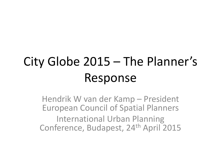# City Globe 2015 – The Planner's Response

Hendrik W van der Kamp – President European Council of Spatial Planners International Urban Planning Conference, Budapest, 24<sup>th</sup> April 2015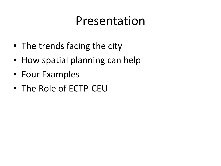### Presentation

- The trends facing the city
- How spatial planning can help
- Four Examples
- The Role of ECTP-CEU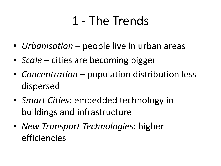# 1 - The Trends

- *Urbanisation* people live in urban areas
- *Scale* cities are becoming bigger
- *Concentration* population distribution less dispersed
- *Smart Cities*: embedded technology in buildings and infrastructure
- *New Transport Technologies*: higher efficiencies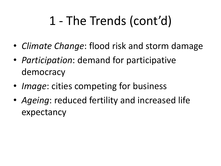# 1 - The Trends (cont'd)

- *Climate Change*: flood risk and storm damage
- *Participation*: demand for participative democracy
- *Image*: cities competing for business
- *Ageing*: reduced fertility and increased life expectancy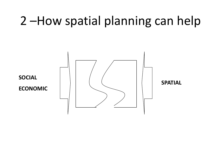# 2 –How spatial planning can help

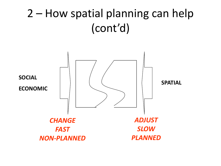### 2 – How spatial planning can help (cont'd)

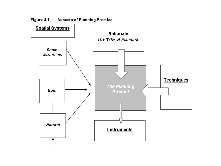

Figure 4.1: Aspects of Planning Practice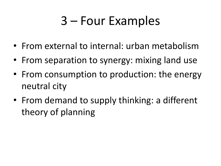# 3 – Four Examples

- From external to internal: urban metabolism
- From separation to synergy: mixing land use
- From consumption to production: the energy neutral city
- From demand to supply thinking: a different theory of planning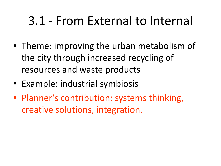# 3.1 - From External to Internal

- Theme: improving the urban metabolism of the city through increased recycling of resources and waste products
- Example: industrial symbiosis
- Planner's contribution: systems thinking, creative solutions, integration.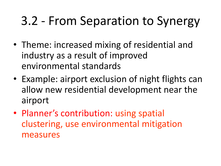# 3.2 - From Separation to Synergy

- Theme: increased mixing of residential and industry as a result of improved environmental standards
- Example: airport exclusion of night flights can allow new residential development near the airport
- Planner's contribution: using spatial clustering, use environmental mitigation measures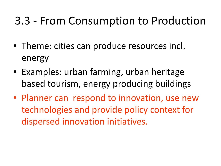#### 3.3 - From Consumption to Production

- Theme: cities can produce resources incl. energy
- Examples: urban farming, urban heritage based tourism, energy producing buildings
- Planner can respond to innovation, use new technologies and provide policy context for dispersed innovation initiatives.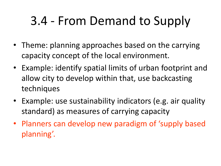# 3.4 - From Demand to Supply

- Theme: planning approaches based on the carrying capacity concept of the local environment.
- Example: identify spatial limits of urban footprint and allow city to develop within that, use backcasting techniques
- Example: use sustainability indicators (e.g. air quality standard) as measures of carrying capacity
- Planners can develop new paradigm of 'supply based planning'.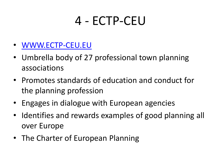## 4 - ECTP-CEU

- [WWW.ECTP-CEU.EU](http://www.ectp-ceu.eu/)
- Umbrella body of 27 professional town planning associations
- Promotes standards of education and conduct for the planning profession
- Engages in dialogue with European agencies
- Identifies and rewards examples of good planning all over Europe
- The Charter of European Planning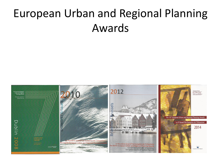### European Urban and Regional Planning Awards

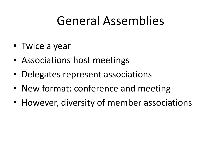## General Assemblies

- Twice a year
- Associations host meetings
- Delegates represent associations
- New format: conference and meeting
- However, diversity of member associations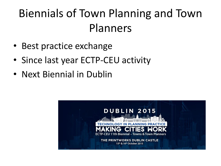## Biennials of Town Planning and Town Planners

- Best practice exchange
- Since last year ECTP-CEU activity
- Next Biennial in Dublin

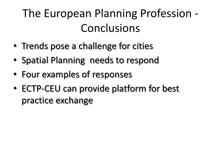## The European Planning Profession - Conclusions

- Trends pose a challenge for cities
- Spatial Planning needs to respond
- Four examples of responses
- ECTP-CEU can provide platform for best practice exchange